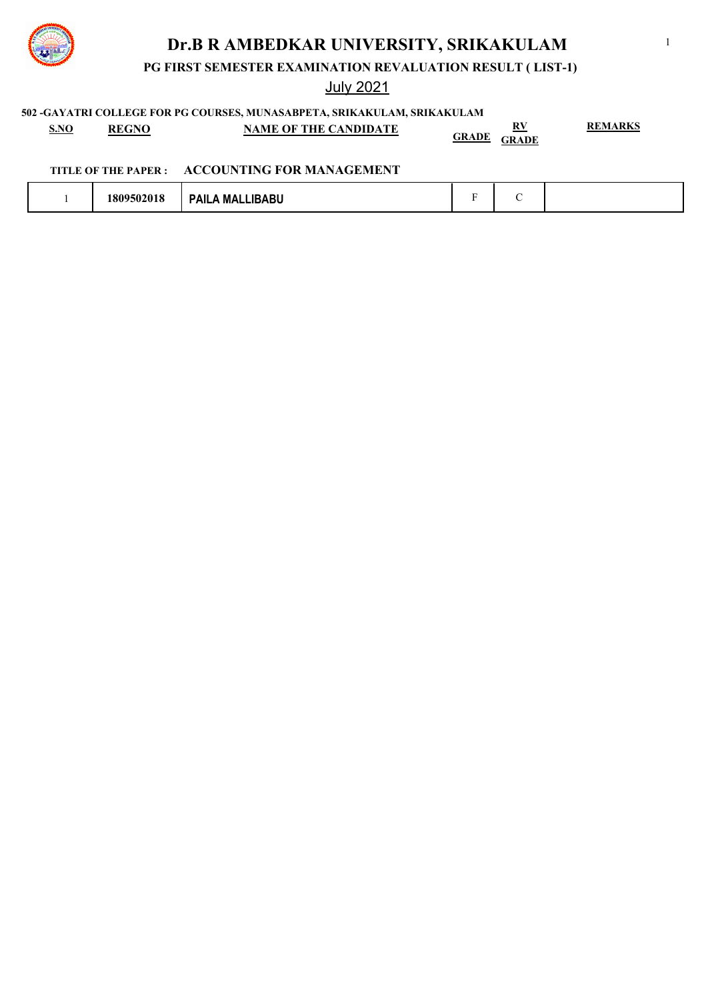

**PG FIRST SEMESTER EXAMINATION REVALUATION RESULT ( LIST-1)**

July 2021

**502 -GAYATRI COLLEGE FOR PG COURSES, MUNASABPETA, SRIKAKULAM, SRIKAKULAM**

| <b>S.NO</b> | <b>REGNO</b> | <b>NAME OF THE CANDIDATE</b> | RУ<br><u>GRADE</u><br><b>GRADE</b> | <b>REMARKS</b> |
|-------------|--------------|------------------------------|------------------------------------|----------------|
|-------------|--------------|------------------------------|------------------------------------|----------------|

### **TITLE OF THE PAPER : ACCOUNTING FOR MANAGEMENT**

| $\sim$<br><b>LIBABU</b><br>809<br>/502018<br>МA<br>υn<br>7. |  |  |  |
|-------------------------------------------------------------|--|--|--|
|-------------------------------------------------------------|--|--|--|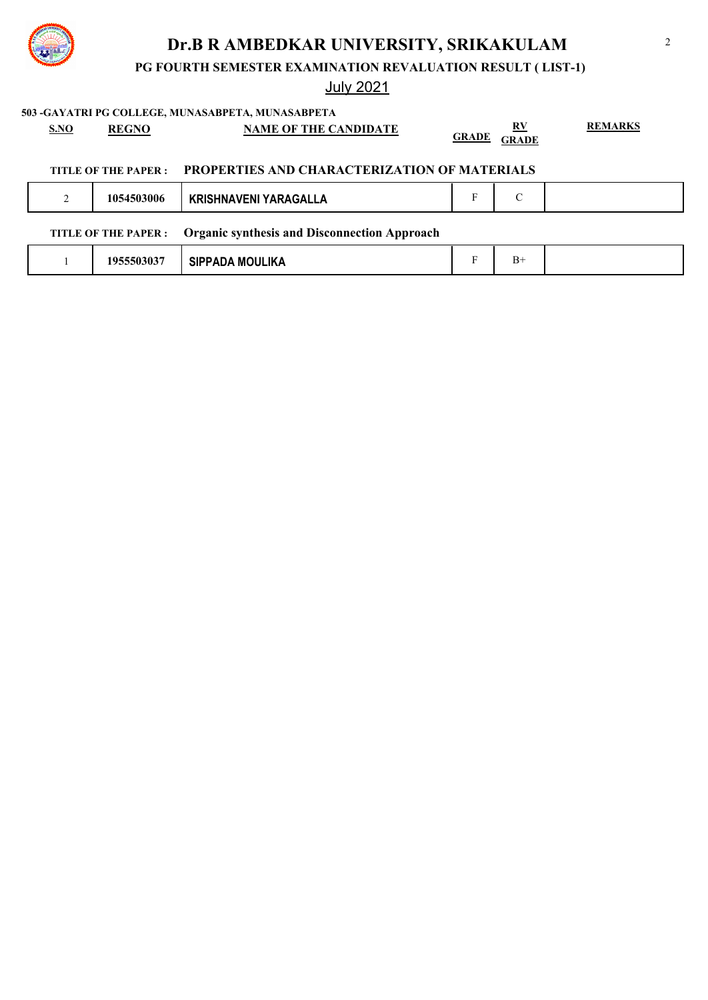**PG FOURTH SEMESTER EXAMINATION REVALUATION RESULT ( LIST-1)**

## July 2021

**503 -GAYATRI PG COLLEGE, MUNASABPETA, MUNASABPETA S.NO REGNO NAME OF THE CANDIDATE RV GRADE GRADE REMARKS TITLE OF THE PAPER : PROPERTIES AND CHARACTERIZATION OF MATERIALS** 2 **1054503006 KRISHNAVENI YARAGALLA** F C **TITLE OF THE PAPER : Organic synthesis and Disconnection Approach** 1 **1955503037 SIPPADA MOULIKA** F B+



## 2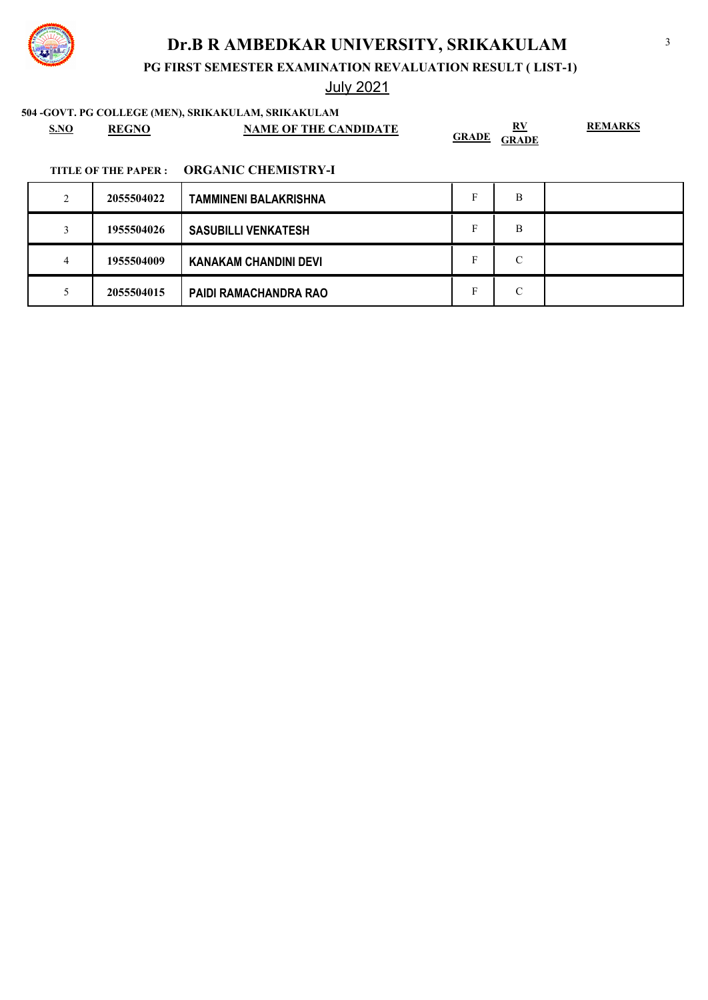

# July 2021

**504 -GOVT. PG COLLEGE (MEN), SRIKAKULAM, SRIKAKULAM**

| <b>S.NO</b> | <b>REGNC</b> | <b>NAME OF THE CANDIDATE</b> | DV.<br><b>GRADE</b><br><b>GRADE</b> | <b>REMARKS</b> |
|-------------|--------------|------------------------------|-------------------------------------|----------------|
|-------------|--------------|------------------------------|-------------------------------------|----------------|

| $\mathcal{D}$<br>∠ | 2055504022 | <b>TAMMINENI BALAKRISHNA</b> | В |  |
|--------------------|------------|------------------------------|---|--|
|                    | 1955504026 | <b>SASUBILLI VENKATESH</b>   | B |  |
| 4                  | 1955504009 | <b>KANAKAM CHANDINI DEVI</b> | С |  |
|                    | 2055504015 | <b>PAIDI RAMACHANDRA RAO</b> | C |  |

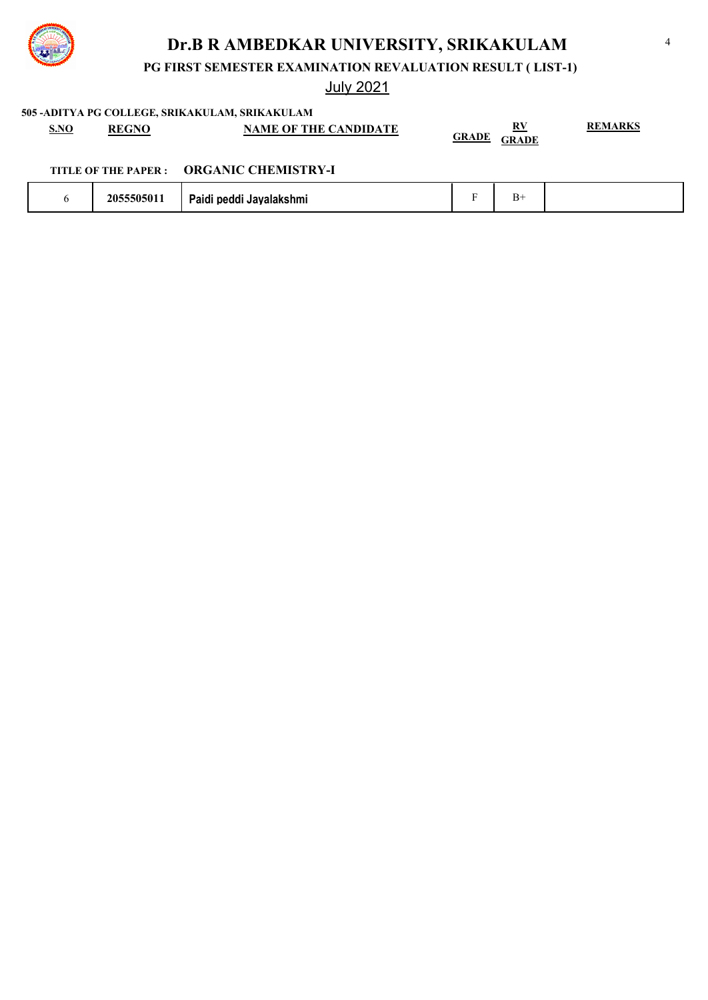

**PG FIRST SEMESTER EXAMINATION REVALUATION RESULT ( LIST-1)**

July 2021

**505 -ADITYA PG COLLEGE, SRIKAKULAM, SRIKAKULAM**

| <b>S.NO</b> | <b>REGNO</b> | <b>NAME OF THE CANDIDATE</b> | RV<br><b>GRADE</b><br><b>GRADE</b> | <b>REMARKS</b> |
|-------------|--------------|------------------------------|------------------------------------|----------------|
|             |              |                              |                                    |                |

|  | 2055505011 | <br>i Jayalakshmi<br>.<br>peagr<br>alul |  | ш<br><u>.</u> |  |
|--|------------|-----------------------------------------|--|---------------|--|
|--|------------|-----------------------------------------|--|---------------|--|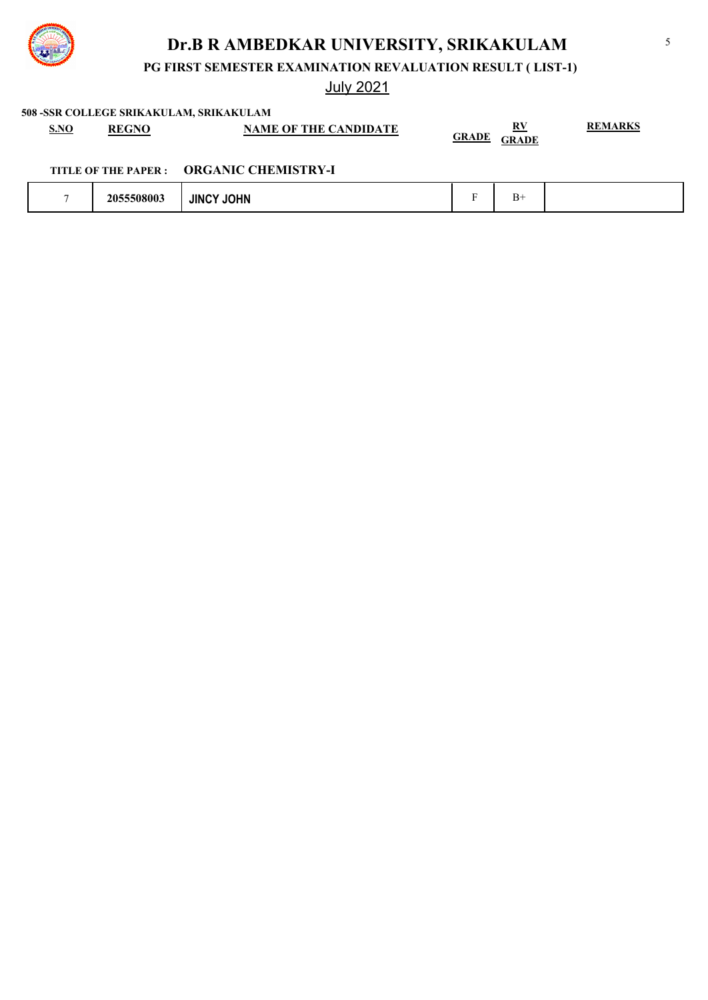

**PG FIRST SEMESTER EXAMINATION REVALUATION RESULT ( LIST-1)**

July 2021

**508 -SSR COLLEGE SRIKAKULAM, SRIKAKULAM**

| <b>S.NO</b> | RECNO | <b>NAME OF THE CANDIDATE</b> | <u>RV</u>                    | <b>REMARKS</b> |
|-------------|-------|------------------------------|------------------------------|----------------|
|             |       |                              | <u>GRADE</u><br><b>GRADE</b> |                |

|  | 2055508003 | JOHN<br><b>JINC</b> |  | $B+$ |  |
|--|------------|---------------------|--|------|--|
|--|------------|---------------------|--|------|--|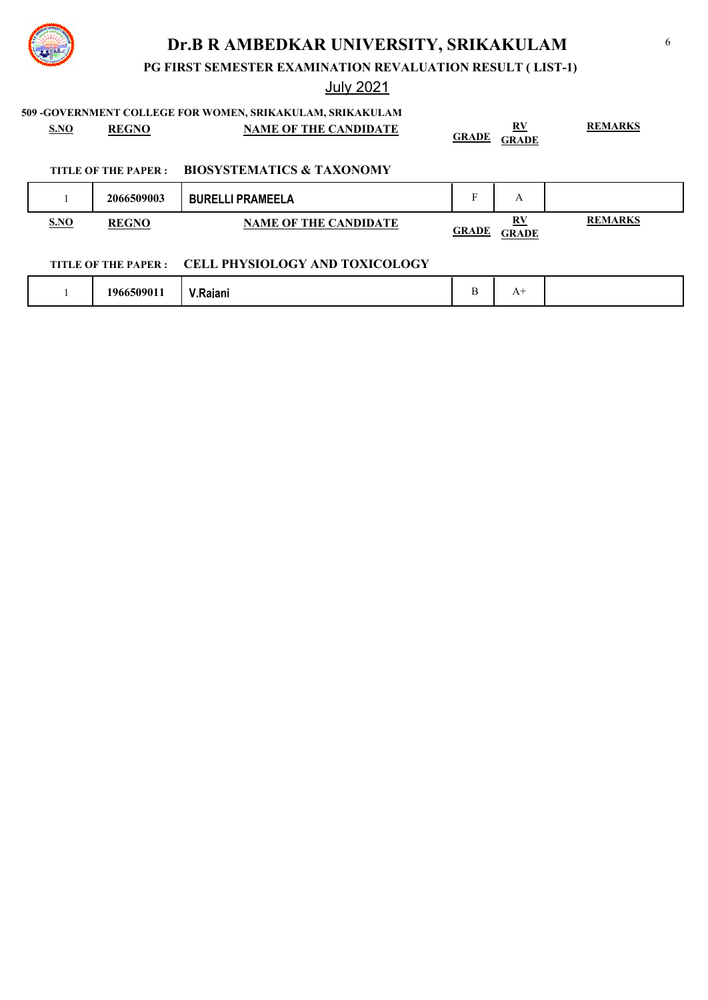

**PG FIRST SEMESTER EXAMINATION REVALUATION RESULT ( LIST-1)**

July 2021

### **509 -GOVERNMENT COLLEGE FOR WOMEN, SRIKAKULAM, SRIKAKULAM**

| <b>S.NO</b> | <b>REGNO</b>         | <b>NAME OF THE CANDIDATE</b>         | <b>GRADE</b> | $\mathbf{R} \mathbf{V}$<br><b>GRADE</b> | <b>REMARKS</b> |
|-------------|----------------------|--------------------------------------|--------------|-----------------------------------------|----------------|
|             | TITLE OF THE PAPER : | <b>BIOSYSTEMATICS &amp; TAXONOMY</b> |              |                                         |                |
|             | 2066509003           | <b>BURELLI PRAMEELA</b>              | F            | A                                       |                |
| <b>S.NO</b> | <b>REGNO</b>         | <b>NAME OF THE CANDIDATE</b>         | <b>GRADE</b> | <u>RV</u><br><b>GRADE</b>               | <b>REMARKS</b> |

### **TITLE OF THE PAPER : CELL PHYSIOLOGY AND TOXICOLOGY**

| 6509011<br><b>1966</b><br>laiani<br>V.Rajdill |  | Δ<br>. . |  |
|-----------------------------------------------|--|----------|--|
|-----------------------------------------------|--|----------|--|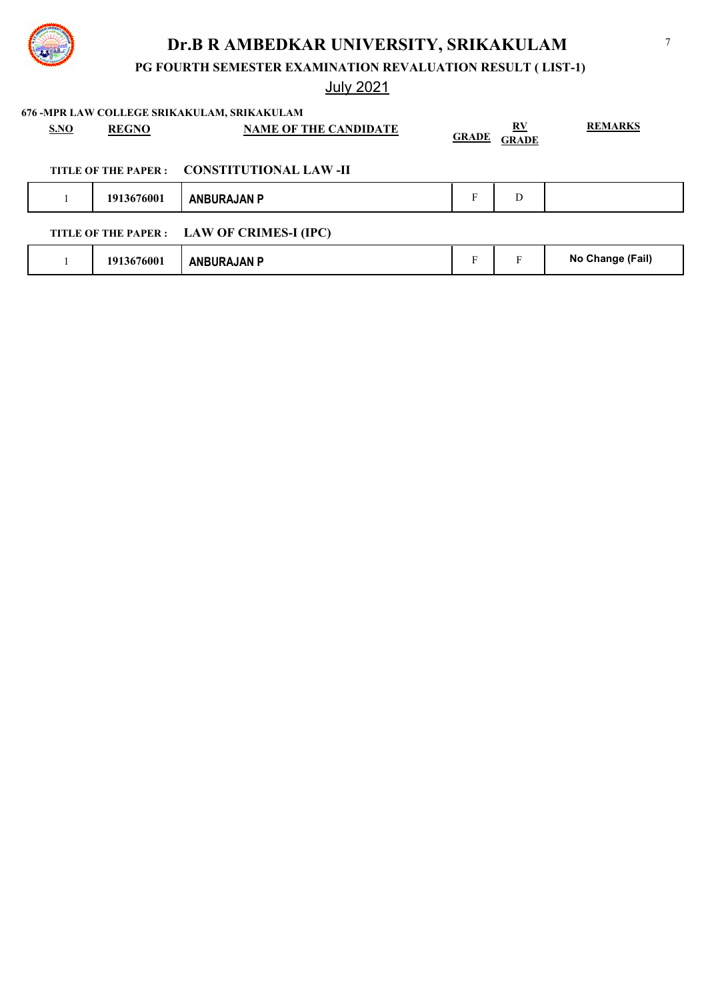

**PG FOURTH SEMESTER EXAMINATION REVALUATION RESULT ( LIST-1)**

# July 2021

**676 -MPR LAW COLLEGE SRIKAKULAM, SRIKAKULAM**

| <b>CONSTITUTIONAL LAW -II</b><br>TITLE OF THE PAPER :<br>F<br>1913676001<br>D<br><b>ANBURAJAN P</b><br>TITLE OF THE PAPER : LAW OF CRIMES-I (IPC) | SNO | <b>REGNO</b> | <b>NAME OF THE CANDIDATE</b> | <b>GRADE</b> | <u>RV</u><br><b>GRADE</b> | <b>REMARKS</b> |
|---------------------------------------------------------------------------------------------------------------------------------------------------|-----|--------------|------------------------------|--------------|---------------------------|----------------|
|                                                                                                                                                   |     |              |                              |              |                           |                |
|                                                                                                                                                   |     |              |                              |              |                           |                |
|                                                                                                                                                   |     |              |                              |              |                           |                |
| No Change (Fail)<br>F<br>F<br>1913676001<br><b>ANBURAJAN P</b>                                                                                    |     |              |                              |              |                           |                |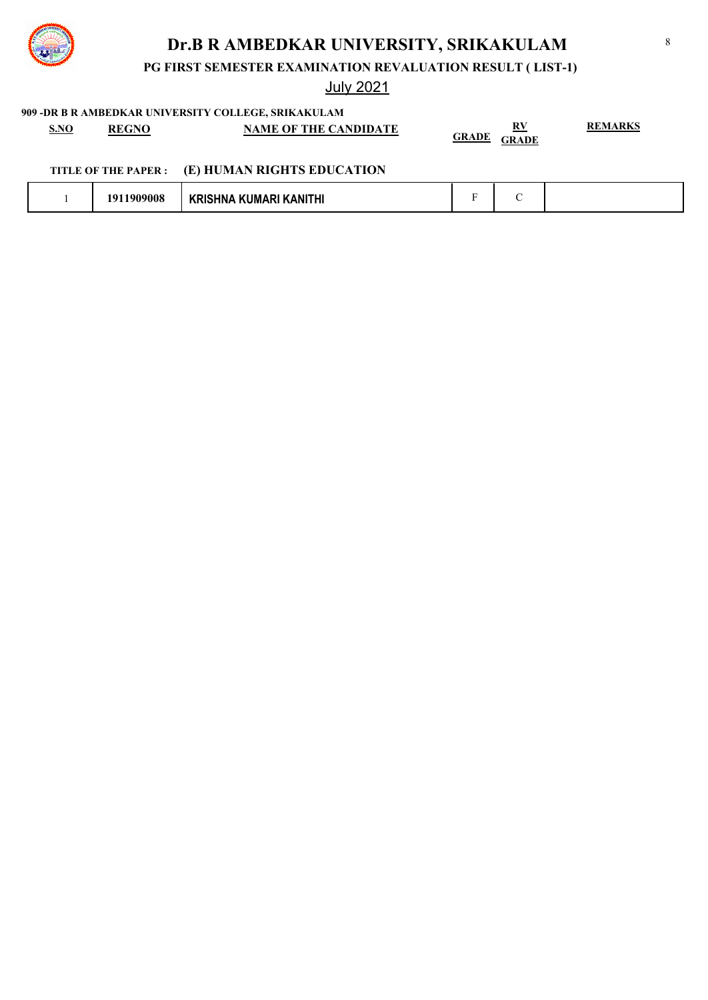

**PG FIRST SEMESTER EXAMINATION REVALUATION RESULT ( LIST-1)**

July 2021

**909 -DR B R AMBEDKAR UNIVERSITY COLLEGE, SRIKAKULAM**

| <u>S.NO</u> | <b>REGNO</b>         | 707 -DR D R AMDEDIVAR VIII I ERSH I COLLEUL, SRIKARULAM<br><b>NAME OF THE CANDIDATE</b> | <b>GRADE</b> | RV<br><b>GRADE</b> | <b>REMARKS</b> |
|-------------|----------------------|-----------------------------------------------------------------------------------------|--------------|--------------------|----------------|
|             | TITLE OF THE PAPER : | (E) HUMAN RIGHTS EDUCATION                                                              |              |                    |                |
|             | 1911909008           | <b>KRISHNA KUMARI KANITHI</b>                                                           | Е            |                    |                |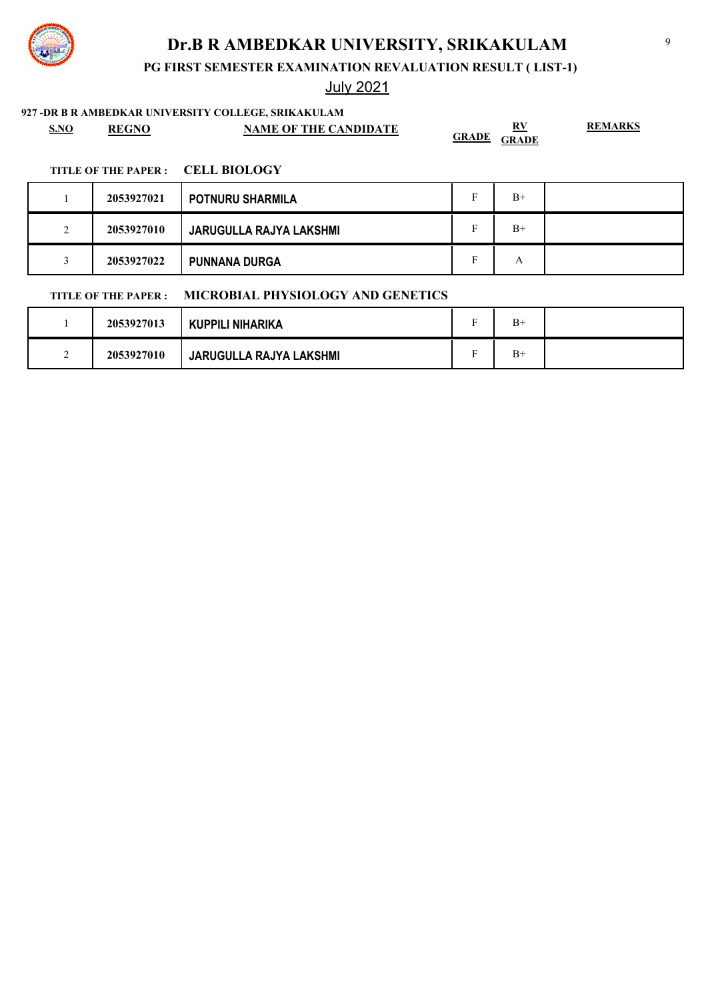**PG FIRST SEMESTER EXAMINATION REVALUATION RESULT ( LIST-1)**

July 2021

**927 -DR B R AMBEDKAR UNIVERSITY COLLEGE, SRIKAKULAM**

| <u>S.NO</u> | <b>REGNO</b> | <b>NAME OF THE CANDIDATE</b> | RV<br>GRADE<br><b>GRADE</b> | <b>REMARKS</b> |
|-------------|--------------|------------------------------|-----------------------------|----------------|
|-------------|--------------|------------------------------|-----------------------------|----------------|

#### **TITLE OF THE PAPER : CELL BIOLOGY**

|                    | 2053927021 | <b>POTNURU SHARMILA</b>        | - | $B+$ |  |
|--------------------|------------|--------------------------------|---|------|--|
| $\mathcal{L}$<br>∠ | 2053927010 | <b>JARUGULLA RAJYA LAKSHMI</b> |   | $B+$ |  |
|                    | 2053927022 | <b>PUNNANA DURGA</b>           | Ð | А    |  |

### **TITLE OF THE PAPER : MICROBIAL PHYSIOLOGY AND GENETICS**

|   | 2053927013 | <b>KUPPILI NIHARIKA</b>        | $B+$ |  |
|---|------------|--------------------------------|------|--|
| ∼ | 2053927010 | <b>JARUGULLA RAJYA LAKSHMI</b> | $B+$ |  |

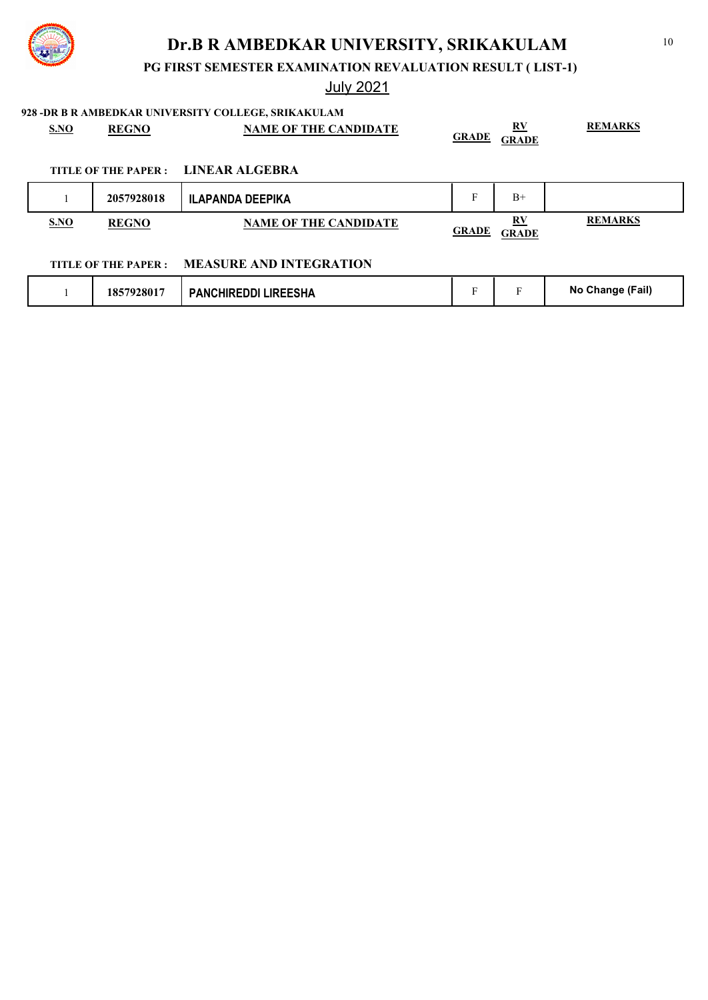**PG FIRST SEMESTER EXAMINATION REVALUATION RESULT ( LIST-1)**

# July 2021

**928 -DR B R AMBEDKAR UNIVERSITY COLLEGE, SRIKAKULAM**

| <b>S.NO</b> | <b>REGNO</b> | <b>NAME OF THE CANDIDATE</b>        | <b>GRADE</b> | RV<br><b>GRADE</b>       | <b>REMARKS</b> |
|-------------|--------------|-------------------------------------|--------------|--------------------------|----------------|
|             |              | TITLE OF THE PAPER : LINEAR ALGEBRA |              |                          |                |
|             | 2057928018   | ILAPANDA DEEPIKA                    | Е            | $B+$                     |                |
| SNO         | <b>REGNO</b> | <b>NAME OF THE CANDIDATE</b>        | <b>GRADE</b> | $\bf RV$<br><b>GRADE</b> | <b>REMARKS</b> |

### **TITLE OF THE PAPER : MEASURE AND INTEGRATION**

| 1857928017<br><b>PANCHIREDDI LIREESHA</b> |  | - | (Fail)<br><b>No Change</b> |
|-------------------------------------------|--|---|----------------------------|
|-------------------------------------------|--|---|----------------------------|

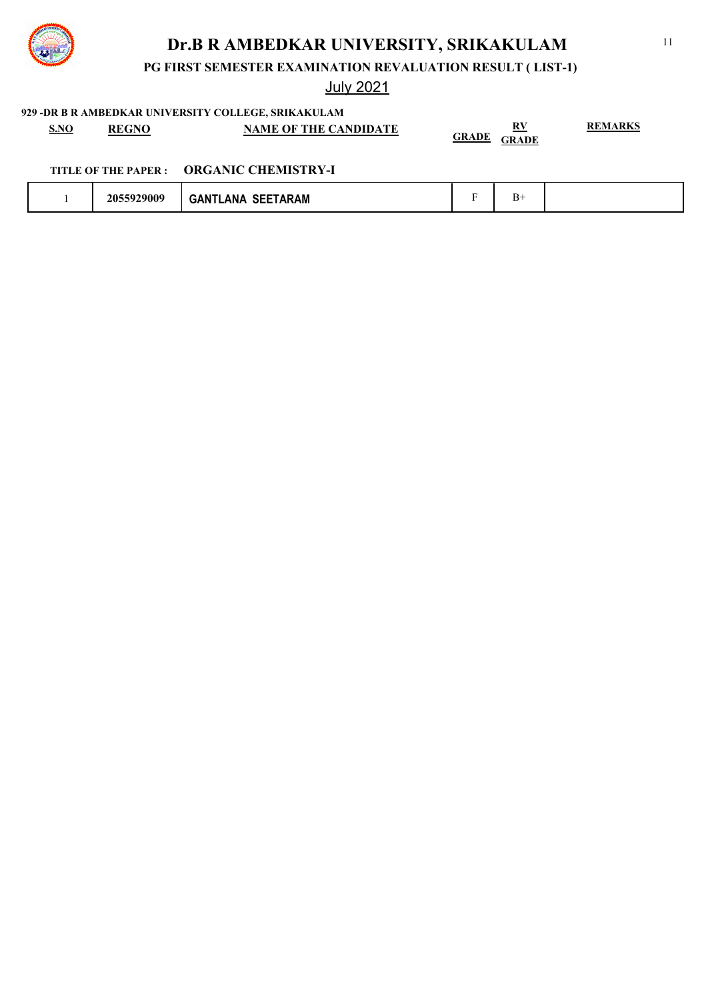

**PG FIRST SEMESTER EXAMINATION REVALUATION RESULT ( LIST-1)**

July 2021

**929 -DR B R AMBEDKAR UNIVERSITY COLLEGE, SRIKAKULAM**

| <b>S.NO</b> | <b>REGNO</b> | <b>NAME OF THE CANDIDATE</b> | DV<br>17. I                  | <b>REMARKS</b> |
|-------------|--------------|------------------------------|------------------------------|----------------|
|             |              |                              | <b>GRADE</b><br><b>GRADE</b> |                |

|  | 2055929009 | <b>SEETARAM</b><br><b>LANA</b><br><b>GAN</b> |  | <u>، س</u> |  |
|--|------------|----------------------------------------------|--|------------|--|
|--|------------|----------------------------------------------|--|------------|--|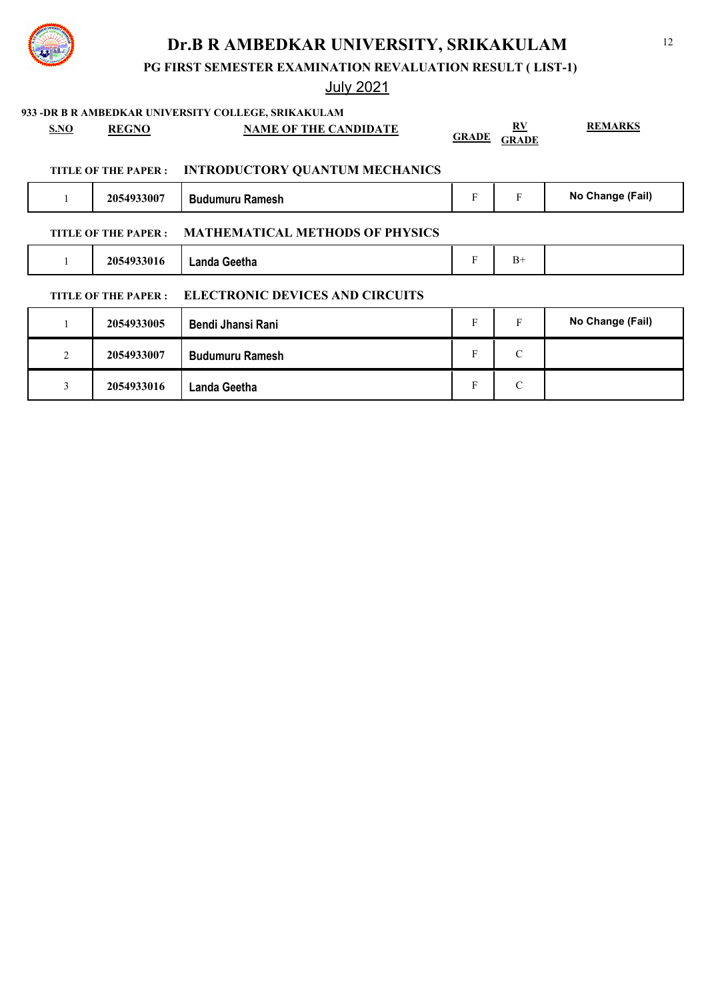**PG FIRST SEMESTER EXAMINATION REVALUATION RESULT ( LIST-1)**

# July 2021

| 933 - DR B R AMBEDKAR UNIVERSITY COLLEGE, SRIKAKULAM |                |                            |                                        |              |                         |                  |
|------------------------------------------------------|----------------|----------------------------|----------------------------------------|--------------|-------------------------|------------------|
|                                                      | <b>S.NO</b>    | <b>REGNO</b>               | <b>NAME OF THE CANDIDATE</b>           | <b>GRADE</b> | $\mathbf{R} \mathbf{V}$ | <b>REMARKS</b>   |
|                                                      |                |                            |                                        |              | <b>GRADE</b>            |                  |
|                                                      |                | <b>TITLE OF THE PAPER:</b> | <b>INTRODUCTORY QUANTUM MECHANICS</b>  |              |                         |                  |
|                                                      |                | 2054933007                 | <b>Budumuru Ramesh</b>                 | F            | $\mathbf{F}$            | No Change (Fail) |
|                                                      |                | TITLE OF THE PAPER :       | <b>MATHEMATICAL METHODS OF PHYSICS</b> |              |                         |                  |
|                                                      |                | 2054933016                 | <b>Landa Geetha</b>                    | F            | $B+$                    |                  |
|                                                      |                | <b>TITLE OF THE PAPER:</b> | <b>ELECTRONIC DEVICES AND CIRCUITS</b> |              |                         |                  |
|                                                      |                | 2054933005                 | Bendi Jhansi Rani                      | F            | $\mathbf{F}$            | No Change (Fail) |
|                                                      | $\overline{2}$ | 2054933007                 | <b>Budumuru Ramesh</b>                 | F            | $\mathcal{C}$           |                  |
|                                                      | 3              | 2054933016                 | Landa Geetha                           | F            | $\mathcal{C}$           |                  |